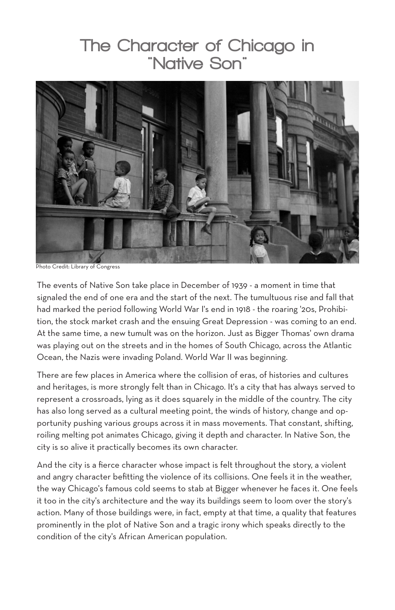## The Character of Chicago in "Native Son"



Photo Credit: Library of Congress

The events of Native Son take place in December of 1939 - a moment in time that signaled the end of one era and the start of the next. The tumultuous rise and fall that had marked the period following World War I's end in 1918 - the roaring '20s, Prohibition, the stock market crash and the ensuing Great Depression - was coming to an end. At the same time, a new tumult was on the horizon. Just as Bigger Thomas' own drama was playing out on the streets and in the homes of South Chicago, across the Atlantic Ocean, the Nazis were invading Poland. World War II was beginning.

There are few places in America where the collision of eras, of histories and cultures and heritages, is more strongly felt than in Chicago. It's a city that has always served to represent a crossroads, lying as it does squarely in the middle of the country. The city has also long served as a cultural meeting point, the winds of history, change and opportunity pushing various groups across it in mass movements. That constant, shifting, roiling melting pot animates Chicago, giving it depth and character. In Native Son, the city is so alive it practically becomes its own character.

And the city is a fierce character whose impact is felt throughout the story, a violent and angry character befitting the violence of its collisions. One feels it in the weather, the way Chicago's famous cold seems to stab at Bigger whenever he faces it. One feels it too in the city's architecture and the way its buildings seem to loom over the story's action. Many of those buildings were, in fact, empty at that time, a quality that features prominently in the plot of Native Son and a tragic irony which speaks directly to the condition of the city's African American population.